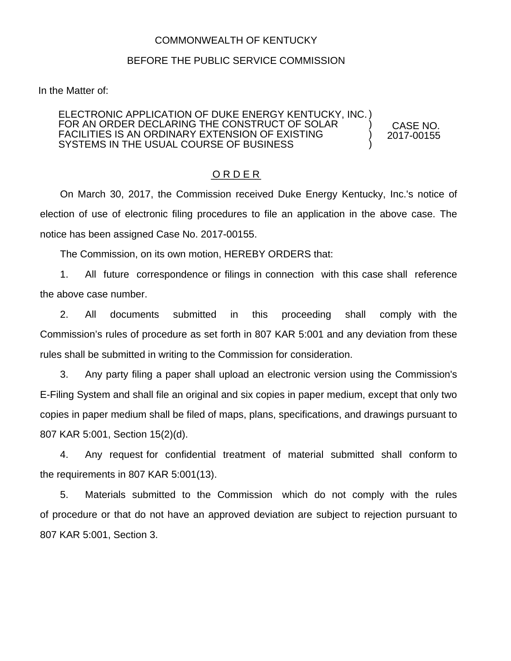## COMMONWEALTH OF KENTUCKY

## BEFORE THE PUBLIC SERVICE COMMISSION

In the Matter of:

## ELECTRONIC APPLICATION OF DUKE ENERGY KENTUCKY, INC. ) FOR AN ORDER DECLARING THE CONSTRUCT OF SOLAR FACILITIES IS AN ORDINARY EXTENSION OF EXISTING SYSTEMS IN THE USUAL COURSE OF BUSINESS ) ) )

CASE NO. 2017-00155

## O R D E R

On March 30, 2017, the Commission received Duke Energy Kentucky, Inc.'s notice of election of use of electronic filing procedures to file an application in the above case. The notice has been assigned Case No. 2017-00155.

The Commission, on its own motion, HEREBY ORDERS that:

1. All future correspondence or filings in connection with this case shall reference the above case number.

2. All documents submitted in this proceeding shall comply with the Commission's rules of procedure as set forth in 807 KAR 5:001 and any deviation from these rules shall be submitted in writing to the Commission for consideration.

3. Any party filing a paper shall upload an electronic version using the Commission's E-Filing System and shall file an original and six copies in paper medium, except that only two copies in paper medium shall be filed of maps, plans, specifications, and drawings pursuant to 807 KAR 5:001, Section 15(2)(d).

4. Any request for confidential treatment of material submitted shall conform to the requirements in 807 KAR 5:001(13).

5. Materials submitted to the Commission which do not comply with the rules of procedure or that do not have an approved deviation are subject to rejection pursuant to 807 KAR 5:001, Section 3.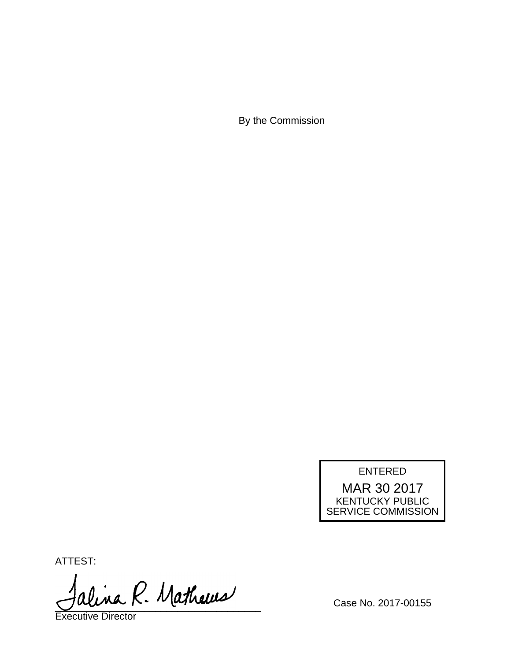By the Commission

ENTERED

MAR 30 2017 KENTUCKY PUBLIC SERVICE COMMISSION

ATTEST:

alina R. Mathews

Executive Director

Case No. 2017-00155